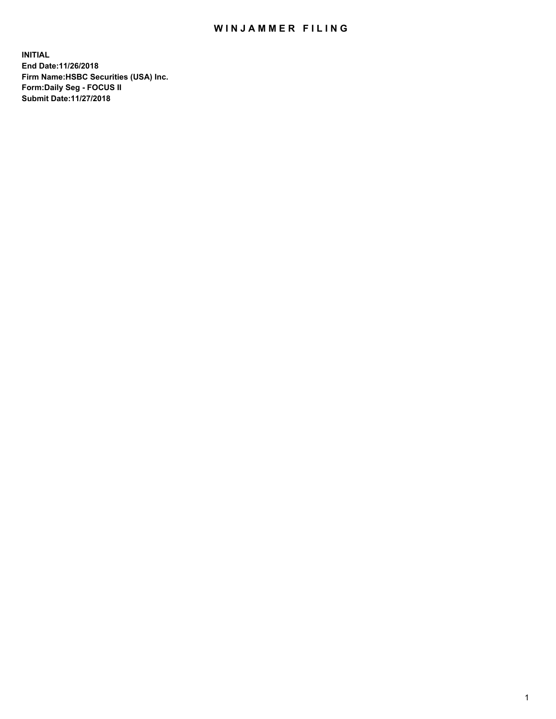## WIN JAMMER FILING

**INITIAL End Date:11/26/2018 Firm Name:HSBC Securities (USA) Inc. Form:Daily Seg - FOCUS II Submit Date:11/27/2018**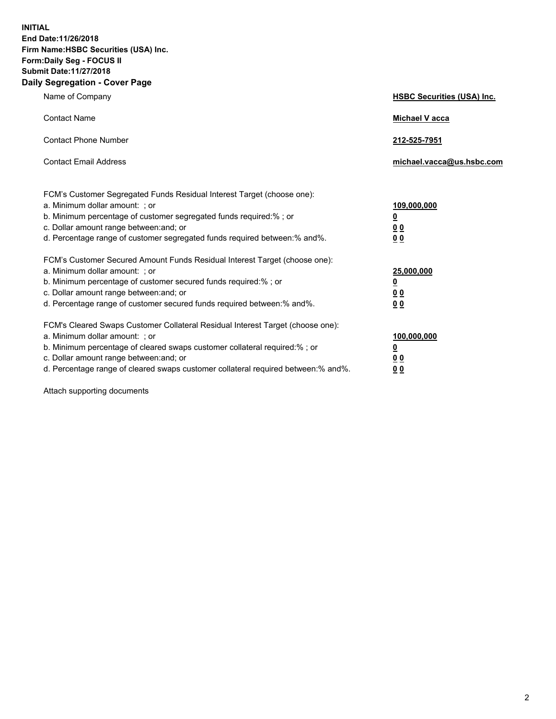**INITIAL End Date:11/26/2018 Firm Name:HSBC Securities (USA) Inc. Form:Daily Seg - FOCUS II Submit Date:11/27/2018 Daily Segregation - Cover Page**

| Name of Company                                                                                                                                                                                                                                                                                                                | <b>HSBC Securities (USA) Inc.</b>                           |
|--------------------------------------------------------------------------------------------------------------------------------------------------------------------------------------------------------------------------------------------------------------------------------------------------------------------------------|-------------------------------------------------------------|
| <b>Contact Name</b>                                                                                                                                                                                                                                                                                                            | <b>Michael V acca</b>                                       |
| <b>Contact Phone Number</b>                                                                                                                                                                                                                                                                                                    | 212-525-7951                                                |
| <b>Contact Email Address</b>                                                                                                                                                                                                                                                                                                   | michael.vacca@us.hsbc.com                                   |
| FCM's Customer Segregated Funds Residual Interest Target (choose one):<br>a. Minimum dollar amount: : or<br>b. Minimum percentage of customer segregated funds required:% ; or<br>c. Dollar amount range between: and; or<br>d. Percentage range of customer segregated funds required between:% and%.                         | 109,000,000<br><u>0</u><br>0 <sub>0</sub><br>0 <sub>0</sub> |
| FCM's Customer Secured Amount Funds Residual Interest Target (choose one):<br>a. Minimum dollar amount: ; or<br>b. Minimum percentage of customer secured funds required:%; or<br>c. Dollar amount range between: and; or<br>d. Percentage range of customer secured funds required between:% and%.                            | 25,000,000<br><u>0</u><br>00<br>0 <sub>0</sub>              |
| FCM's Cleared Swaps Customer Collateral Residual Interest Target (choose one):<br>a. Minimum dollar amount: ; or<br>b. Minimum percentage of cleared swaps customer collateral required:% ; or<br>c. Dollar amount range between: and; or<br>d. Percentage range of cleared swaps customer collateral required between:% and%. | 100,000,000<br><u>0</u><br>00<br>0 <sub>0</sub>             |

Attach supporting documents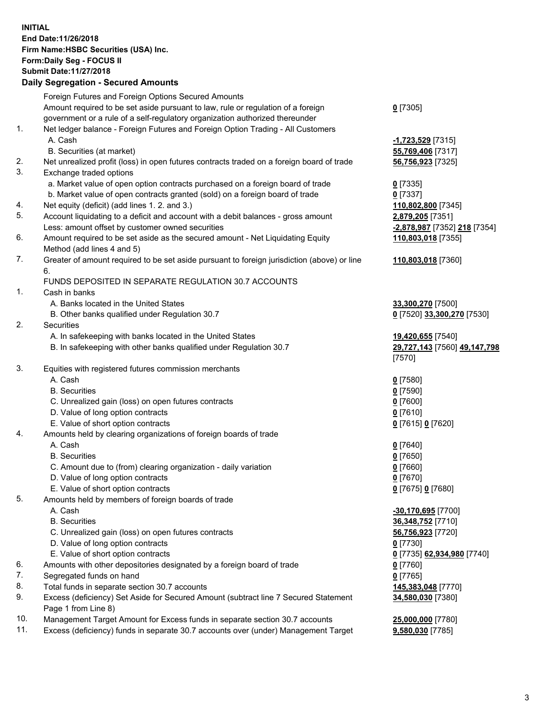**INITIAL End Date:11/26/2018 Firm Name:HSBC Securities (USA) Inc. Form:Daily Seg - FOCUS II Submit Date:11/27/2018 Daily Segregation - Secured Amounts** Foreign Futures and Foreign Options Secured Amounts Amount required to be set aside pursuant to law, rule or regulation of a foreign government or a rule of a self-regulatory organization authorized thereunder **0** [7305] 1. Net ledger balance - Foreign Futures and Foreign Option Trading - All Customers A. Cash **-1,723,529** [7315] B. Securities (at market) **55,769,406** [7317] 2. Net unrealized profit (loss) in open futures contracts traded on a foreign board of trade **56,756,923** [7325] 3. Exchange traded options a. Market value of open option contracts purchased on a foreign board of trade **0** [7335] b. Market value of open contracts granted (sold) on a foreign board of trade **0** [7337] 4. Net equity (deficit) (add lines 1. 2. and 3.) **110,802,800** [7345] 5. Account liquidating to a deficit and account with a debit balances - gross amount **2,879,205** [7351] Less: amount offset by customer owned securities **-2,878,987** [7352] **218** [7354] 6. Amount required to be set aside as the secured amount - Net Liquidating Equity Method (add lines 4 and 5) **110,803,018** [7355] 7. Greater of amount required to be set aside pursuant to foreign jurisdiction (above) or line 6. **110,803,018** [7360] FUNDS DEPOSITED IN SEPARATE REGULATION 30.7 ACCOUNTS 1. Cash in banks A. Banks located in the United States **33,300,270** [7500] B. Other banks qualified under Regulation 30.7 **0** [7520] **33,300,270** [7530] 2. Securities A. In safekeeping with banks located in the United States **19,420,655** [7540] B. In safekeeping with other banks qualified under Regulation 30.7 **29,727,143** [7560] **49,147,798** [7570] 3. Equities with registered futures commission merchants A. Cash **0** [7580] B. Securities **0** [7590] C. Unrealized gain (loss) on open futures contracts **0** [7600] D. Value of long option contracts **0** [7610] E. Value of short option contracts **0** [7615] **0** [7620] 4. Amounts held by clearing organizations of foreign boards of trade A. Cash **0** [7640] B. Securities **0** [7650] C. Amount due to (from) clearing organization - daily variation **0** [7660] D. Value of long option contracts **0** [7670] E. Value of short option contracts **0** [7675] **0** [7680] 5. Amounts held by members of foreign boards of trade A. Cash **-30,170,695** [7700] B. Securities **36,348,752** [7710] C. Unrealized gain (loss) on open futures contracts **56,756,923** [7720] D. Value of long option contracts **0** [7730] E. Value of short option contracts **0** [7735] **62,934,980** [7740] 6. Amounts with other depositories designated by a foreign board of trade **0** [7760] 7. Segregated funds on hand **0** [7765] 8. Total funds in separate section 30.7 accounts **145,383,048** [7770] 9. Excess (deficiency) Set Aside for Secured Amount (subtract line 7 Secured Statement Page 1 from Line 8) **34,580,030** [7380]

10. Management Target Amount for Excess funds in separate section 30.7 accounts **25,000,000** [7780]

11. Excess (deficiency) funds in separate 30.7 accounts over (under) Management Target **9,580,030** [7785]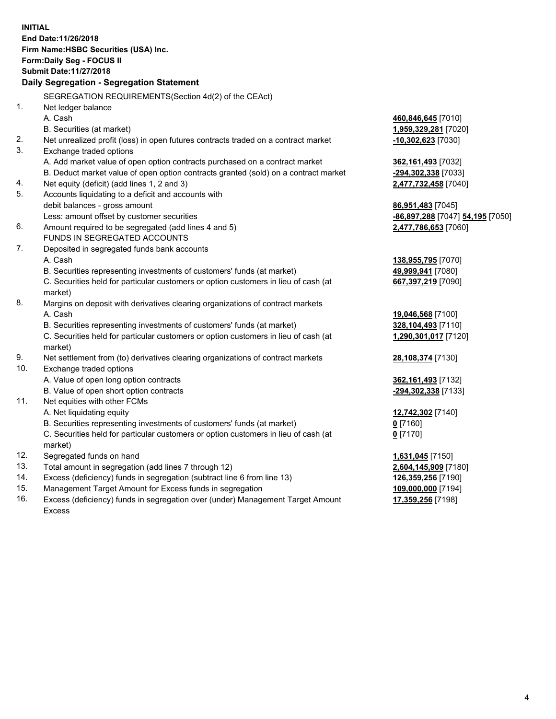**INITIAL End Date:11/26/2018 Firm Name:HSBC Securities (USA) Inc. Form:Daily Seg - FOCUS II Submit Date:11/27/2018 Daily Segregation - Segregation Statement** SEGREGATION REQUIREMENTS(Section 4d(2) of the CEAct) 1. Net ledger balance A. Cash **460,846,645** [7010] B. Securities (at market) **1,959,329,281** [7020] 2. Net unrealized profit (loss) in open futures contracts traded on a contract market **-10,302,623** [7030] 3. Exchange traded options A. Add market value of open option contracts purchased on a contract market **362,161,493** [7032] B. Deduct market value of open option contracts granted (sold) on a contract market **-294,302,338** [7033] 4. Net equity (deficit) (add lines 1, 2 and 3) **2,477,732,458** [7040] 5. Accounts liquidating to a deficit and accounts with debit balances - gross amount **86,951,483** [7045] Less: amount offset by customer securities **-86,897,288** [7047] **54,195** [7050] 6. Amount required to be segregated (add lines 4 and 5) **2,477,786,653** [7060] FUNDS IN SEGREGATED ACCOUNTS 7. Deposited in segregated funds bank accounts A. Cash **138,955,795** [7070] B. Securities representing investments of customers' funds (at market) **49,999,941** [7080] C. Securities held for particular customers or option customers in lieu of cash (at market) **667,397,219** [7090] 8. Margins on deposit with derivatives clearing organizations of contract markets A. Cash **19,046,568** [7100] B. Securities representing investments of customers' funds (at market) **328,104,493** [7110] C. Securities held for particular customers or option customers in lieu of cash (at market) **1,290,301,017** [7120] 9. Net settlement from (to) derivatives clearing organizations of contract markets **28,108,374** [7130] 10. Exchange traded options A. Value of open long option contracts **362,161,493** [7132] B. Value of open short option contracts **-294,302,338** [7133] 11. Net equities with other FCMs A. Net liquidating equity **12,742,302** [7140] B. Securities representing investments of customers' funds (at market) **0** [7160] C. Securities held for particular customers or option customers in lieu of cash (at market) **0** [7170] 12. Segregated funds on hand **1,631,045** [7150] 13. Total amount in segregation (add lines 7 through 12) **2,604,145,909** [7180] 14. Excess (deficiency) funds in segregation (subtract line 6 from line 13) **126,359,256** [7190] 15. Management Target Amount for Excess funds in segregation **109,000,000** [7194] **17,359,256** [7198]

16. Excess (deficiency) funds in segregation over (under) Management Target Amount Excess